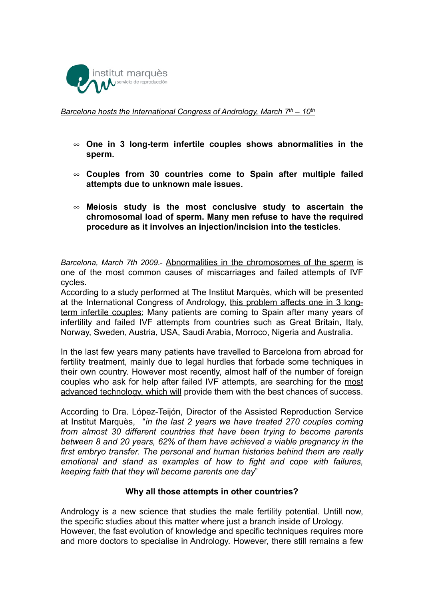

*Barcelona hosts the International Congress of Andrology, March 7th – 10th*

- **One in 3 long-term infertile couples shows abnormalities in the sperm.**
- **Couples from 30 countries come to Spain after multiple failed attempts due to unknown male issues.**
- **Meiosis study is the most conclusive study to ascertain the chromosomal load of sperm. Many men refuse to have the required procedure as it involves an injection/incision into the testicles**.

*Barcelona, March 7th 2009*.- Abnormalities in the chromosomes of the sperm is one of the most common causes of miscarriages and failed attempts of IVF cycles.

According to a study performed at The Institut Marquès, which will be presented at the International Congress of Andrology, this problem affects one in 3 longterm infertile couples; Many patients are coming to Spain after many years of infertility and failed IVF attempts from countries such as Great Britain, Italy, Norway, Sweden, Austria, USA, Saudi Arabia, Morroco, Nigeria and Australia.

In the last few years many patients have travelled to Barcelona from abroad for fertility treatment, mainly due to legal hurdles that forbade some techniques in their own country. However most recently, almost half of the number of foreign couples who ask for help after failed IVF attempts, are searching for the most advanced technology, which will provide them with the best chances of success.

According to Dra. López-Teijón, Director of the Assisted Reproduction Service at Institut Marquès, "*in the last 2 years we have treated 270 couples coming from almost 30 different countries that have been trying to become parents between 8 and 20 years, 62% of them have achieved a viable pregnancy in the first embryo transfer. The personal and human histories behind them are really emotional and stand as examples of how to fight and cope with failures, keeping faith that they will become parents one day*"

## **Why all those attempts in other countries?**

Andrology is a new science that studies the male fertility potential. Untill now, the specific studies about this matter where just a branch inside of Urology. However, the fast evolution of knowledge and specific techniques requires more and more doctors to specialise in Andrology. However, there still remains a few